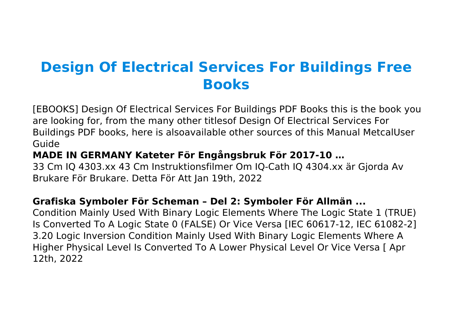# **Design Of Electrical Services For Buildings Free Books**

[EBOOKS] Design Of Electrical Services For Buildings PDF Books this is the book you are looking for, from the many other titlesof Design Of Electrical Services For Buildings PDF books, here is alsoavailable other sources of this Manual MetcalUser Guide

#### **MADE IN GERMANY Kateter För Engångsbruk För 2017-10 …**

33 Cm IQ 4303.xx 43 Cm Instruktionsfilmer Om IQ-Cath IQ 4304.xx är Gjorda Av Brukare För Brukare. Detta För Att Jan 19th, 2022

#### **Grafiska Symboler För Scheman – Del 2: Symboler För Allmän ...**

Condition Mainly Used With Binary Logic Elements Where The Logic State 1 (TRUE) Is Converted To A Logic State 0 (FALSE) Or Vice Versa [IEC 60617-12, IEC 61082-2] 3.20 Logic Inversion Condition Mainly Used With Binary Logic Elements Where A Higher Physical Level Is Converted To A Lower Physical Level Or Vice Versa [ Apr 12th, 2022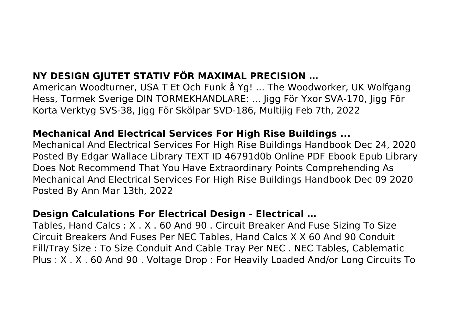### **NY DESIGN GJUTET STATIV FÖR MAXIMAL PRECISION …**

American Woodturner, USA T Et Och Funk å Yg! ... The Woodworker, UK Wolfgang Hess, Tormek Sverige DIN TORMEKHANDLARE: ... Jigg För Yxor SVA‑170, Jigg För Korta Verktyg SVS‑38, Jigg För Skölpar SVD‑186, Multijig Feb 7th, 2022

#### **Mechanical And Electrical Services For High Rise Buildings ...**

Mechanical And Electrical Services For High Rise Buildings Handbook Dec 24, 2020 Posted By Edgar Wallace Library TEXT ID 46791d0b Online PDF Ebook Epub Library Does Not Recommend That You Have Extraordinary Points Comprehending As Mechanical And Electrical Services For High Rise Buildings Handbook Dec 09 2020 Posted By Ann Mar 13th, 2022

#### **Design Calculations For Electrical Design - Electrical …**

Tables, Hand Calcs : X . X . 60 And 90 . Circuit Breaker And Fuse Sizing To Size Circuit Breakers And Fuses Per NEC Tables, Hand Calcs X X 60 And 90 Conduit Fill/Tray Size : To Size Conduit And Cable Tray Per NEC . NEC Tables, Cablematic Plus : X . X . 60 And 90 . Voltage Drop : For Heavily Loaded And/or Long Circuits To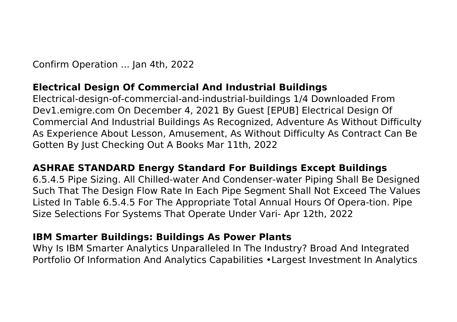Confirm Operation ... Jan 4th, 2022

#### **Electrical Design Of Commercial And Industrial Buildings**

Electrical-design-of-commercial-and-industrial-buildings 1/4 Downloaded From Dev1.emigre.com On December 4, 2021 By Guest [EPUB] Electrical Design Of Commercial And Industrial Buildings As Recognized, Adventure As Without Difficulty As Experience About Lesson, Amusement, As Without Difficulty As Contract Can Be Gotten By Just Checking Out A Books Mar 11th, 2022

#### **ASHRAE STANDARD Energy Standard For Buildings Except Buildings**

6.5.4.5 Pipe Sizing. All Chilled-water And Condenser-water Piping Shall Be Designed Such That The Design Flow Rate In Each Pipe Segment Shall Not Exceed The Values Listed In Table 6.5.4.5 For The Appropriate Total Annual Hours Of Opera-tion. Pipe Size Selections For Systems That Operate Under Vari- Apr 12th, 2022

#### **IBM Smarter Buildings: Buildings As Power Plants**

Why Is IBM Smarter Analytics Unparalleled In The Industry? Broad And Integrated Portfolio Of Information And Analytics Capabilities •Largest Investment In Analytics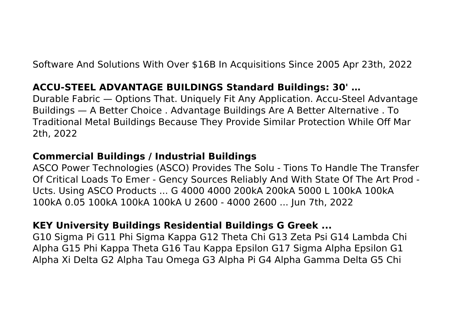Software And Solutions With Over \$16B In Acquisitions Since 2005 Apr 23th, 2022

#### **ACCU-STEEL ADVANTAGE BUILDINGS Standard Buildings: 30' …**

Durable Fabric — Options That. Uniquely Fit Any Application. Accu-Steel Advantage Buildings — A Better Choice . Advantage Buildings Are A Better Alternative . To Traditional Metal Buildings Because They Provide Similar Protection While Off Mar 2th, 2022

#### **Commercial Buildings / Industrial Buildings**

ASCO Power Technologies (ASCO) Provides The Solu - Tions To Handle The Transfer Of Critical Loads To Emer - Gency Sources Reliably And With State Of The Art Prod - Ucts. Using ASCO Products ... G 4000 4000 200kA 200kA 5000 L 100kA 100kA 100kA 0.05 100kA 100kA 100kA U 2600 - 4000 2600 ... Jun 7th, 2022

#### **KEY University Buildings Residential Buildings G Greek ...**

G10 Sigma Pi G11 Phi Sigma Kappa G12 Theta Chi G13 Zeta Psi G14 Lambda Chi Alpha G15 Phi Kappa Theta G16 Tau Kappa Epsilon G17 Sigma Alpha Epsilon G1 Alpha Xi Delta G2 Alpha Tau Omega G3 Alpha Pi G4 Alpha Gamma Delta G5 Chi